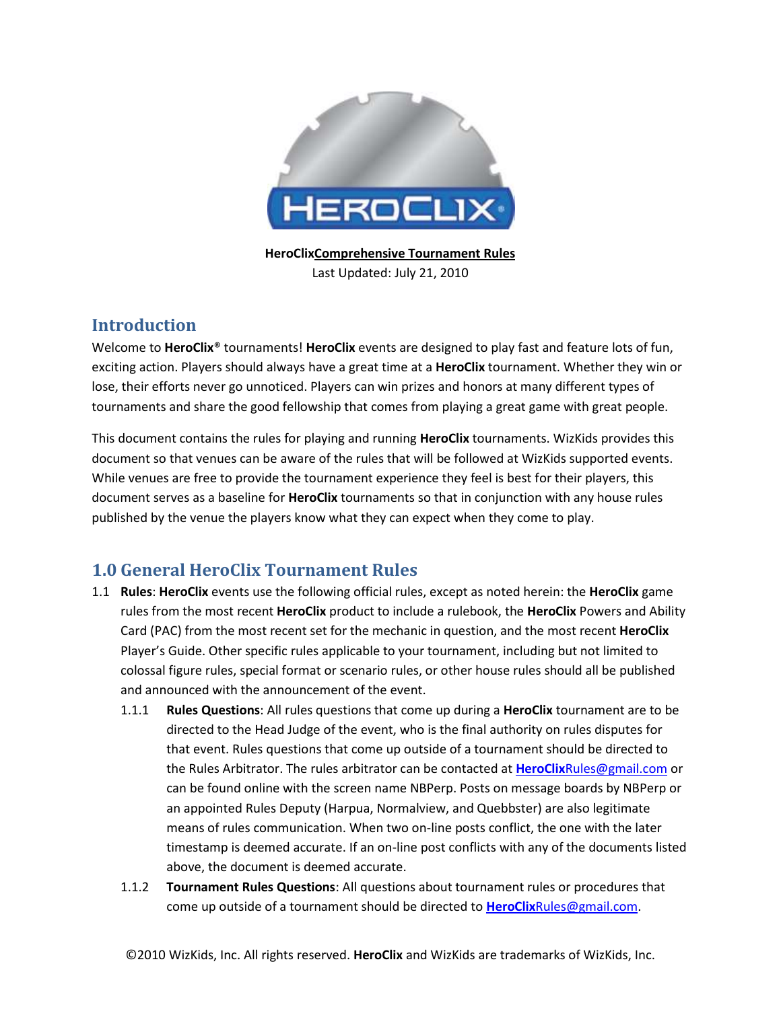

**HeroClixComprehensive Tournament Rules** Last Updated: July 21, 2010

## **Introduction**

Welcome to **HeroClix**® tournaments! **HeroClix** events are designed to play fast and feature lots of fun, exciting action. Players should always have a great time at a **HeroClix** tournament. Whether they win or lose, their efforts never go unnoticed. Players can win prizes and honors at many different types of tournaments and share the good fellowship that comes from playing a great game with great people.

This document contains the rules for playing and running **HeroClix** tournaments. WizKids provides this document so that venues can be aware of the rules that will be followed at WizKids supported events. While venues are free to provide the tournament experience they feel is best for their players, this document serves as a baseline for **HeroClix** tournaments so that in conjunction with any house rules published by the venue the players know what they can expect when they come to play.

# **1.0 General HeroClix Tournament Rules**

- 1.1 **Rules**: **HeroClix** events use the following official rules, except as noted herein: the **HeroClix** game rules from the most recent **HeroClix** product to include a rulebook, the **HeroClix** Powers and Ability Card (PAC) from the most recent set for the mechanic in question, and the most recent **HeroClix** Player's Guide. Other specific rules applicable to your tournament, including but not limited to colossal figure rules, special format or scenario rules, or other house rules should all be published and announced with the announcement of the event.
	- 1.1.1 **Rules Questions**: All rules questions that come up during a **HeroClix** tournament are to be directed to the Head Judge of the event, who is the final authority on rules disputes for that event. Rules questions that come up outside of a tournament should be directed to the Rules Arbitrator. The rules arbitrator can be contacted at **HeroClix**[Rules@gmail.com](mailto:HeroClixRules@gmail.com) or can be found online with the screen name NBPerp. Posts on message boards by NBPerp or an appointed Rules Deputy (Harpua, Normalview, and Quebbster) are also legitimate means of rules communication. When two on-line posts conflict, the one with the later timestamp is deemed accurate. If an on-line post conflicts with any of the documents listed above, the document is deemed accurate.
	- 1.1.2 **Tournament Rules Questions**: All questions about tournament rules or procedures that come up outside of a tournament should be directed to **HeroClix**[Rules@gmail.com.](mailto:HeroClixRules@gmail.com)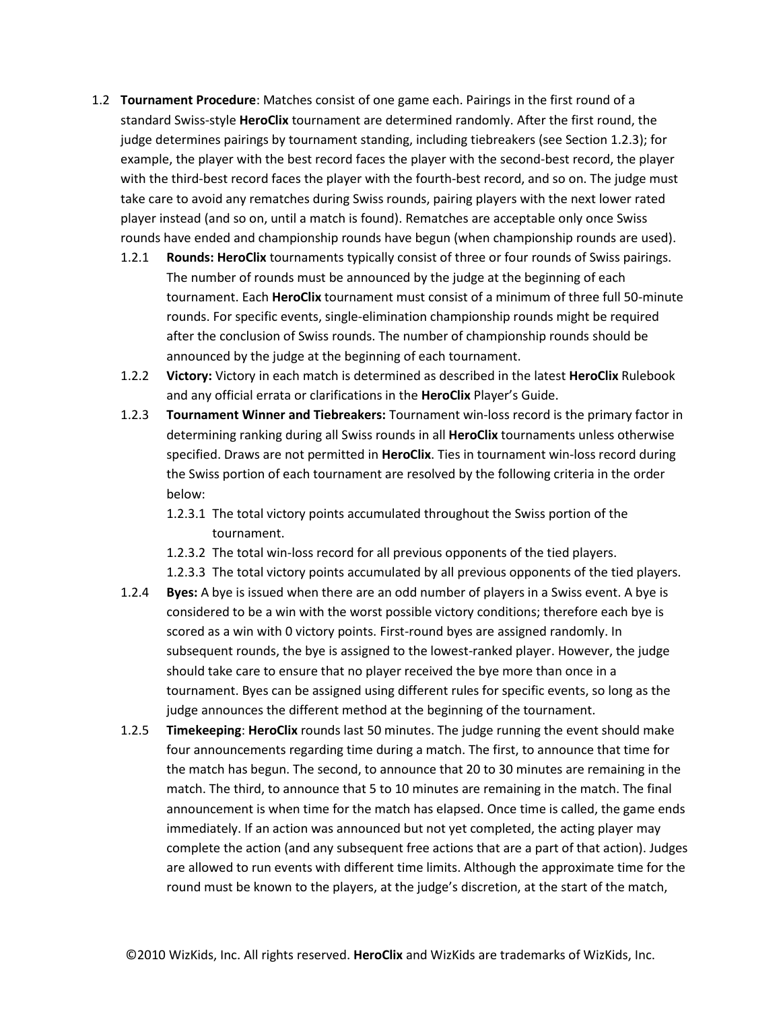- <span id="page-1-0"></span>1.2 **Tournament Procedure**: Matches consist of one game each. Pairings in the first round of a standard Swiss-style **HeroClix** tournament are determined randomly. After the first round, the judge determines pairings by tournament standing, including tiebreakers (see Section [1.2.3\)](#page-1-0); for example, the player with the best record faces the player with the second-best record, the player with the third-best record faces the player with the fourth-best record, and so on. The judge must take care to avoid any rematches during Swiss rounds, pairing players with the next lower rated player instead (and so on, until a match is found). Rematches are acceptable only once Swiss rounds have ended and championship rounds have begun (when championship rounds are used).
	- 1.2.1 **Rounds: HeroClix** tournaments typically consist of three or four rounds of Swiss pairings. The number of rounds must be announced by the judge at the beginning of each tournament. Each **HeroClix** tournament must consist of a minimum of three full 50-minute rounds. For specific events, single-elimination championship rounds might be required after the conclusion of Swiss rounds. The number of championship rounds should be announced by the judge at the beginning of each tournament.
	- 1.2.2 **Victory:** Victory in each match is determined as described in the latest **HeroClix** Rulebook and any official errata or clarifications in the **HeroClix** Player's Guide.
	- 1.2.3 **Tournament Winner and Tiebreakers:** Tournament win-loss record is the primary factor in determining ranking during all Swiss rounds in all **HeroClix** tournaments unless otherwise specified. Draws are not permitted in **HeroClix**. Ties in tournament win-loss record during the Swiss portion of each tournament are resolved by the following criteria in the order below:
		- 1.2.3.1 The total victory points accumulated throughout the Swiss portion of the tournament.
		- 1.2.3.2 The total win-loss record for all previous opponents of the tied players.
		- 1.2.3.3 The total victory points accumulated by all previous opponents of the tied players.
	- 1.2.4 **Byes:** A bye is issued when there are an odd number of players in a Swiss event. A bye is considered to be a win with the worst possible victory conditions; therefore each bye is scored as a win with 0 victory points. First-round byes are assigned randomly. In subsequent rounds, the bye is assigned to the lowest-ranked player. However, the judge should take care to ensure that no player received the bye more than once in a tournament. Byes can be assigned using different rules for specific events, so long as the judge announces the different method at the beginning of the tournament.
	- 1.2.5 **Timekeeping**: **HeroClix** rounds last 50 minutes. The judge running the event should make four announcements regarding time during a match. The first, to announce that time for the match has begun. The second, to announce that 20 to 30 minutes are remaining in the match. The third, to announce that 5 to 10 minutes are remaining in the match. The final announcement is when time for the match has elapsed. Once time is called, the game ends immediately. If an action was announced but not yet completed, the acting player may complete the action (and any subsequent free actions that are a part of that action). Judges are allowed to run events with different time limits. Although the approximate time for the round must be known to the players, at the judge's discretion, at the start of the match,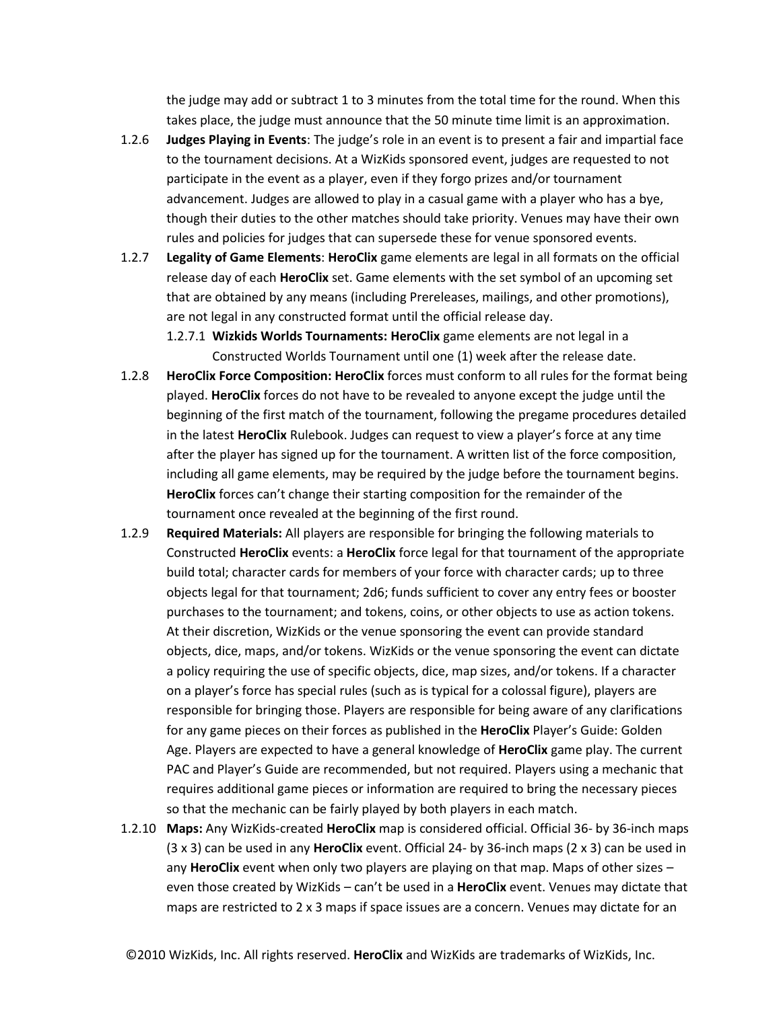the judge may add or subtract 1 to 3 minutes from the total time for the round. When this takes place, the judge must announce that the 50 minute time limit is an approximation.

- 1.2.6 **Judges Playing in Events**: The judge's role in an event is to present a fair and impartial face to the tournament decisions. At a WizKids sponsored event, judges are requested to not participate in the event as a player, even if they forgo prizes and/or tournament advancement. Judges are allowed to play in a casual game with a player who has a bye, though their duties to the other matches should take priority. Venues may have their own rules and policies for judges that can supersede these for venue sponsored events.
- 1.2.7 **Legality of Game Elements**: **HeroClix** game elements are legal in all formats on the official release day of each **HeroClix** set. Game elements with the set symbol of an upcoming set that are obtained by any means (including Prereleases, mailings, and other promotions), are not legal in any constructed format until the official release day.
	- 1.2.7.1 **Wizkids Worlds Tournaments: HeroClix** game elements are not legal in a Constructed Worlds Tournament until one (1) week after the release date.
- 1.2.8 **HeroClix Force Composition: HeroClix** forces must conform to all rules for the format being played. **HeroClix** forces do not have to be revealed to anyone except the judge until the beginning of the first match of the tournament, following the pregame procedures detailed in the latest **HeroClix** Rulebook. Judges can request to view a player's force at any time after the player has signed up for the tournament. A written list of the force composition, including all game elements, may be required by the judge before the tournament begins. **HeroClix** forces can't change their starting composition for the remainder of the tournament once revealed at the beginning of the first round.
- 1.2.9 **Required Materials:** All players are responsible for bringing the following materials to Constructed **HeroClix** events: a **HeroClix** force legal for that tournament of the appropriate build total; character cards for members of your force with character cards; up to three objects legal for that tournament; 2d6; funds sufficient to cover any entry fees or booster purchases to the tournament; and tokens, coins, or other objects to use as action tokens. At their discretion, WizKids or the venue sponsoring the event can provide standard objects, dice, maps, and/or tokens. WizKids or the venue sponsoring the event can dictate a policy requiring the use of specific objects, dice, map sizes, and/or tokens. If a character on a player's force has special rules (such as is typical for a colossal figure), players are responsible for bringing those. Players are responsible for being aware of any clarifications for any game pieces on their forces as published in the **HeroClix** Player's Guide: Golden Age. Players are expected to have a general knowledge of **HeroClix** game play. The current PAC and Player's Guide are recommended, but not required. Players using a mechanic that requires additional game pieces or information are required to bring the necessary pieces so that the mechanic can be fairly played by both players in each match.
- 1.2.10 **Maps:** Any WizKids-created **HeroClix** map is considered official. Official 36- by 36-inch maps (3 x 3) can be used in any **HeroClix** event. Official 24- by 36-inch maps (2 x 3) can be used in any **HeroClix** event when only two players are playing on that map. Maps of other sizes – even those created by WizKids – can't be used in a **HeroClix** event. Venues may dictate that maps are restricted to  $2 \times 3$  maps if space issues are a concern. Venues may dictate for an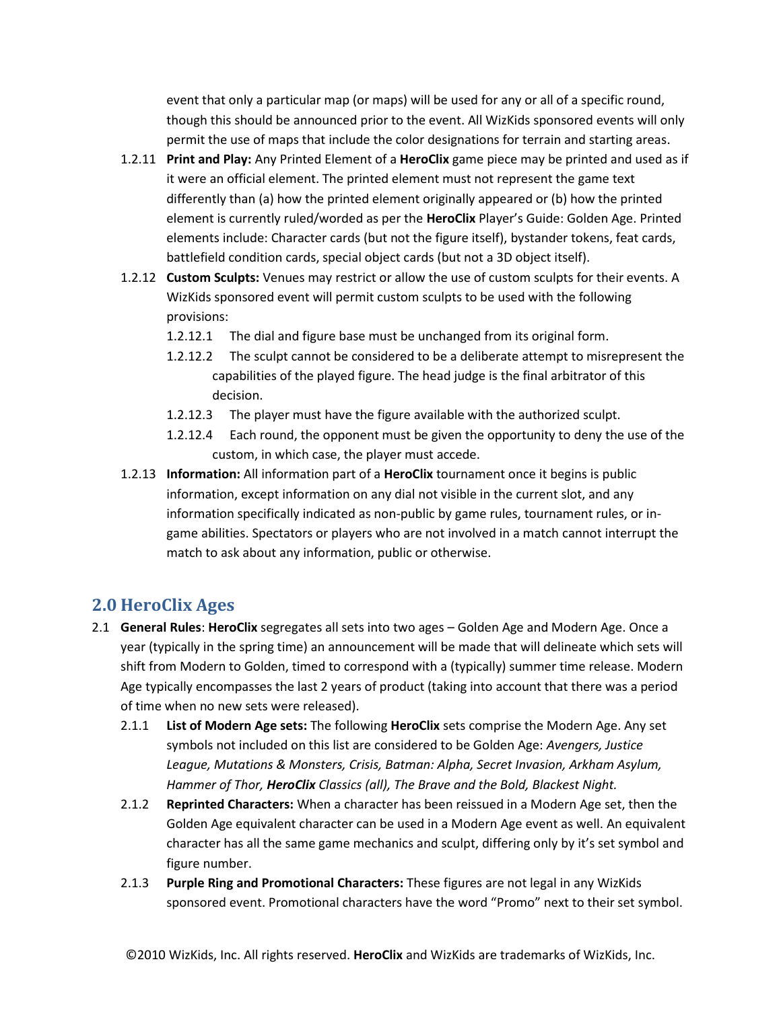event that only a particular map (or maps) will be used for any or all of a specific round, though this should be announced prior to the event. All WizKids sponsored events will only permit the use of maps that include the color designations for terrain and starting areas.

- 1.2.11 **Print and Play:** Any Printed Element of a **HeroClix** game piece may be printed and used as if it were an official element. The printed element must not represent the game text differently than (a) how the printed element originally appeared or (b) how the printed element is currently ruled/worded as per the **HeroClix** Player's Guide: Golden Age. Printed elements include: Character cards (but not the figure itself), bystander tokens, feat cards, battlefield condition cards, special object cards (but not a 3D object itself).
- 1.2.12 **Custom Sculpts:** Venues may restrict or allow the use of custom sculpts for their events. A WizKids sponsored event will permit custom sculpts to be used with the following provisions:
	- 1.2.12.1 The dial and figure base must be unchanged from its original form.
	- 1.2.12.2 The sculpt cannot be considered to be a deliberate attempt to misrepresent the capabilities of the played figure. The head judge is the final arbitrator of this decision.
	- 1.2.12.3 The player must have the figure available with the authorized sculpt.
	- 1.2.12.4 Each round, the opponent must be given the opportunity to deny the use of the custom, in which case, the player must accede.
- 1.2.13 **Information:** All information part of a **HeroClix** tournament once it begins is public information, except information on any dial not visible in the current slot, and any information specifically indicated as non-public by game rules, tournament rules, or ingame abilities. Spectators or players who are not involved in a match cannot interrupt the match to ask about any information, public or otherwise.

## **2.0 HeroClix Ages**

- 2.1 **General Rules**: **HeroClix** segregates all sets into two ages Golden Age and Modern Age. Once a year (typically in the spring time) an announcement will be made that will delineate which sets will shift from Modern to Golden, timed to correspond with a (typically) summer time release. Modern Age typically encompasses the last 2 years of product (taking into account that there was a period of time when no new sets were released).
	- 2.1.1 **List of Modern Age sets:** The following **HeroClix** sets comprise the Modern Age. Any set symbols not included on this list are considered to be Golden Age: *Avengers, Justice League, Mutations & Monsters, Crisis, Batman: Alpha, Secret Invasion, Arkham Asylum, Hammer of Thor, HeroClix Classics (all), The Brave and the Bold, Blackest Night.*
	- 2.1.2 **Reprinted Characters:** When a character has been reissued in a Modern Age set, then the Golden Age equivalent character can be used in a Modern Age event as well. An equivalent character has all the same game mechanics and sculpt, differing only by it's set symbol and figure number.
	- 2.1.3 **Purple Ring and Promotional Characters:** These figures are not legal in any WizKids sponsored event. Promotional characters have the word "Promo" next to their set symbol.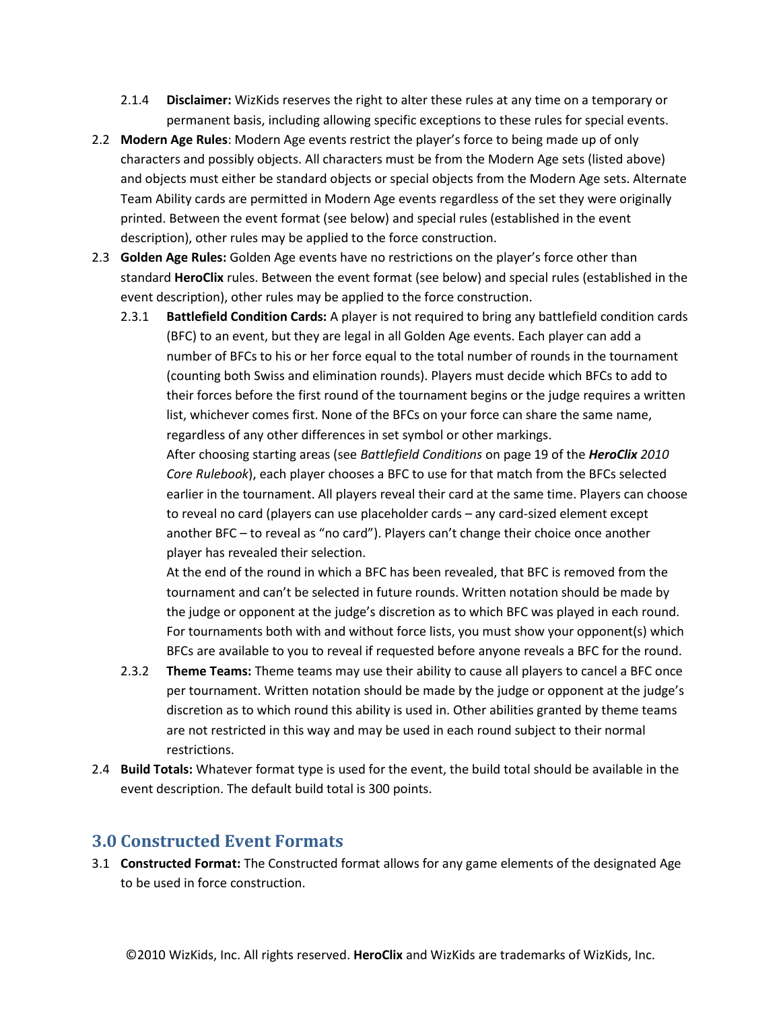- 2.1.4 **Disclaimer:** WizKids reserves the right to alter these rules at any time on a temporary or permanent basis, including allowing specific exceptions to these rules for special events.
- 2.2 **Modern Age Rules**: Modern Age events restrict the player's force to being made up of only characters and possibly objects. All characters must be from the Modern Age sets (listed above) and objects must either be standard objects or special objects from the Modern Age sets. Alternate Team Ability cards are permitted in Modern Age events regardless of the set they were originally printed. Between the event format (see below) and special rules (established in the event description), other rules may be applied to the force construction.
- 2.3 **Golden Age Rules:** Golden Age events have no restrictions on the player's force other than standard **HeroClix** rules. Between the event format (see below) and special rules (established in the event description), other rules may be applied to the force construction.
	- 2.3.1 **Battlefield Condition Cards:** A player is not required to bring any battlefield condition cards (BFC) to an event, but they are legal in all Golden Age events. Each player can add a number of BFCs to his or her force equal to the total number of rounds in the tournament (counting both Swiss and elimination rounds). Players must decide which BFCs to add to their forces before the first round of the tournament begins or the judge requires a written list, whichever comes first. None of the BFCs on your force can share the same name, regardless of any other differences in set symbol or other markings.

After choosing starting areas (see *Battlefield Conditions* on page 19 of the *HeroClix 2010 Core Rulebook*), each player chooses a BFC to use for that match from the BFCs selected earlier in the tournament. All players reveal their card at the same time. Players can choose to reveal no card (players can use placeholder cards – any card-sized element except another BFC – to reveal as "no card"). Players can't change their choice once another player has revealed their selection.

At the end of the round in which a BFC has been revealed, that BFC is removed from the tournament and can't be selected in future rounds. Written notation should be made by the judge or opponent at the judge's discretion as to which BFC was played in each round. For tournaments both with and without force lists, you must show your opponent(s) which BFCs are available to you to reveal if requested before anyone reveals a BFC for the round.

- 2.3.2 **Theme Teams:** Theme teams may use their ability to cause all players to cancel a BFC once per tournament. Written notation should be made by the judge or opponent at the judge's discretion as to which round this ability is used in. Other abilities granted by theme teams are not restricted in this way and may be used in each round subject to their normal restrictions.
- 2.4 **Build Totals:** Whatever format type is used for the event, the build total should be available in the event description. The default build total is 300 points.

#### **3.0 Constructed Event Formats**

3.1 **Constructed Format:** The Constructed format allows for any game elements of the designated Age to be used in force construction.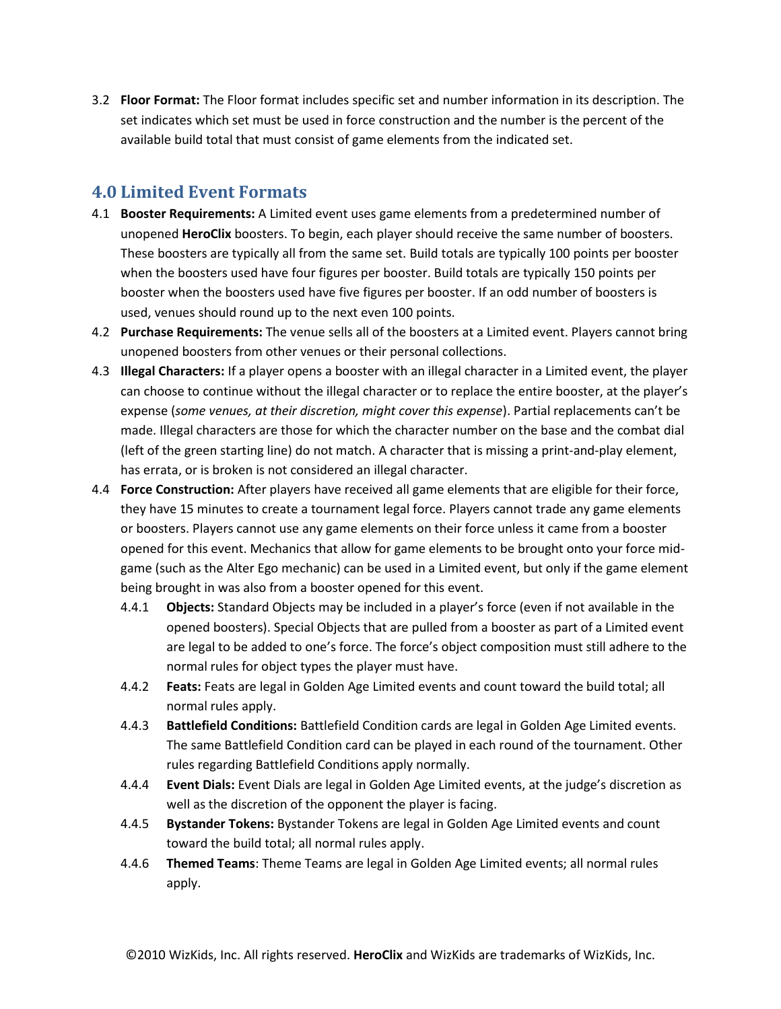3.2 **Floor Format:** The Floor format includes specific set and number information in its description. The set indicates which set must be used in force construction and the number is the percent of the available build total that must consist of game elements from the indicated set.

### **4.0 Limited Event Formats**

- 4.1 **Booster Requirements:** A Limited event uses game elements from a predetermined number of unopened **HeroClix** boosters. To begin, each player should receive the same number of boosters. These boosters are typically all from the same set. Build totals are typically 100 points per booster when the boosters used have four figures per booster. Build totals are typically 150 points per booster when the boosters used have five figures per booster. If an odd number of boosters is used, venues should round up to the next even 100 points.
- 4.2 **Purchase Requirements:** The venue sells all of the boosters at a Limited event. Players cannot bring unopened boosters from other venues or their personal collections.
- <span id="page-5-0"></span>4.3 **Illegal Characters:** If a player opens a booster with an illegal character in a Limited event, the player can choose to continue without the illegal character or to replace the entire booster, at the player's expense (*some venues, at their discretion, might cover this expense*). Partial replacements can't be made. Illegal characters are those for which the character number on the base and the combat dial (left of the green starting line) do not match. A character that is missing a print-and-play element, has errata, or is broken is not considered an illegal character.
- 4.4 **Force Construction:** After players have received all game elements that are eligible for their force, they have 15 minutes to create a tournament legal force. Players cannot trade any game elements or boosters. Players cannot use any game elements on their force unless it came from a booster opened for this event. Mechanics that allow for game elements to be brought onto your force midgame (such as the Alter Ego mechanic) can be used in a Limited event, but only if the game element being brought in was also from a booster opened for this event.
	- 4.4.1 **Objects:** Standard Objects may be included in a player's force (even if not available in the opened boosters). Special Objects that are pulled from a booster as part of a Limited event are legal to be added to one's force. The force's object composition must still adhere to the normal rules for object types the player must have.
	- 4.4.2 **Feats:** Feats are legal in Golden Age Limited events and count toward the build total; all normal rules apply.
	- 4.4.3 **Battlefield Conditions:** Battlefield Condition cards are legal in Golden Age Limited events. The same Battlefield Condition card can be played in each round of the tournament. Other rules regarding Battlefield Conditions apply normally.
	- 4.4.4 **Event Dials:** Event Dials are legal in Golden Age Limited events, at the judge's discretion as well as the discretion of the opponent the player is facing.
	- 4.4.5 **Bystander Tokens:** Bystander Tokens are legal in Golden Age Limited events and count toward the build total; all normal rules apply.
	- 4.4.6 **Themed Teams**: Theme Teams are legal in Golden Age Limited events; all normal rules apply.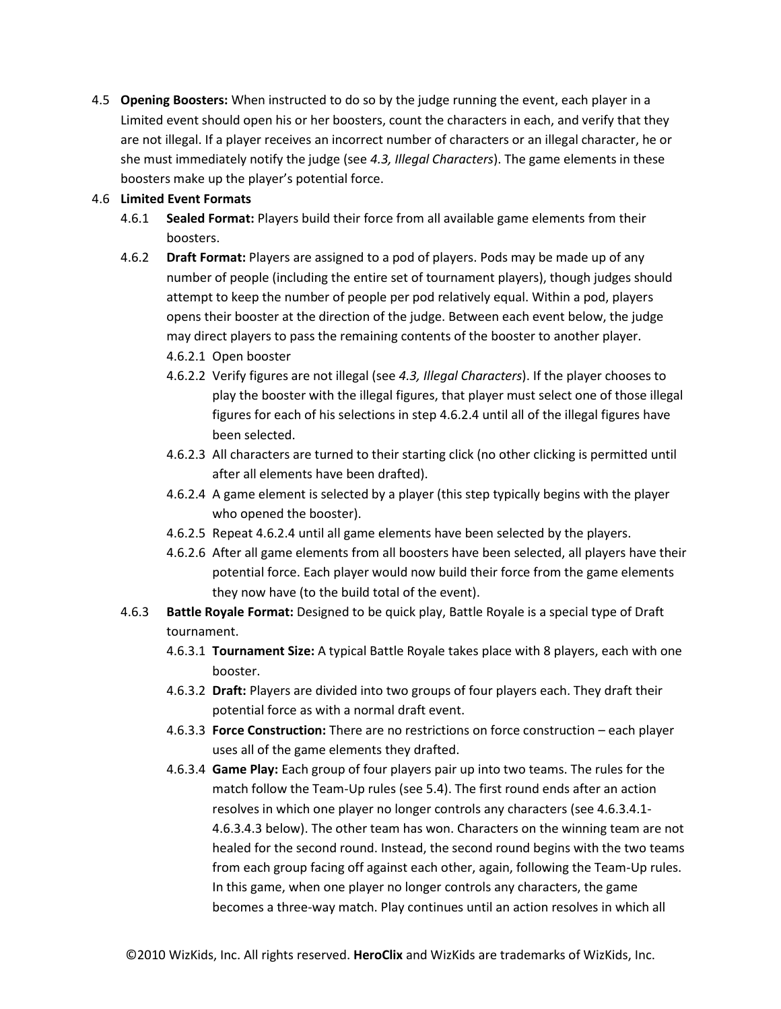4.5 **Opening Boosters:** When instructed to do so by the judge running the event, each player in a Limited event should open his or her boosters, count the characters in each, and verify that they are not illegal. If a player receives an incorrect number of characters or an illegal character, he or she must immediately notify the judge (see *[4.3,](#page-5-0) Illegal Characters*). The game elements in these boosters make up the player's potential force.

#### 4.6 **Limited Event Formats**

- 4.6.1 **Sealed Format:** Players build their force from all available game elements from their boosters.
- 4.6.2 **Draft Format:** Players are assigned to a pod of players. Pods may be made up of any number of people (including the entire set of tournament players), though judges should attempt to keep the number of people per pod relatively equal. Within a pod, players opens their booster at the direction of the judge. Between each event below, the judge may direct players to pass the remaining contents of the booster to another player.
	- 4.6.2.1 Open booster
	- 4.6.2.2 Verify figures are not illegal (see *[4.3,](#page-5-0) Illegal Characters*). If the player chooses to play the booster with the illegal figures, that player must select one of those illegal figures for each of his selections in step [4.6.2.4](#page-6-0) until all of the illegal figures have been selected.
	- 4.6.2.3 All characters are turned to their starting click (no other clicking is permitted until after all elements have been drafted).
	- 4.6.2.4 A game element is selected by a player (this step typically begins with the player who opened the booster).
	- 4.6.2.5 Repea[t 4.6.2.4](#page-6-0) until all game elements have been selected by the players.
	- 4.6.2.6 After all game elements from all boosters have been selected, all players have their potential force. Each player would now build their force from the game elements they now have (to the build total of the event).
- <span id="page-6-0"></span>4.6.3 **Battle Royale Format:** Designed to be quick play, Battle Royale is a special type of Draft tournament.
	- 4.6.3.1 **Tournament Size:** A typical Battle Royale takes place with 8 players, each with one booster.
	- 4.6.3.2 **Draft:** Players are divided into two groups of four players each. They draft their potential force as with a normal draft event.
	- 4.6.3.3 **Force Construction:** There are no restrictions on force construction each player uses all of the game elements they drafted.
	- 4.6.3.4 **Game Play:** Each group of four players pair up into two teams. The rules for the match follow the Team-Up rules (see [5.4\)](#page-7-0). The first round ends after an action resolves in which one player no longer controls any characters (se[e 4.6.3.4.1-](#page-7-1) [4.6.3.4.3](#page-7-2) below). The other team has won. Characters on the winning team are not healed for the second round. Instead, the second round begins with the two teams from each group facing off against each other, again, following the Team-Up rules. In this game, when one player no longer controls any characters, the game becomes a three-way match. Play continues until an action resolves in which all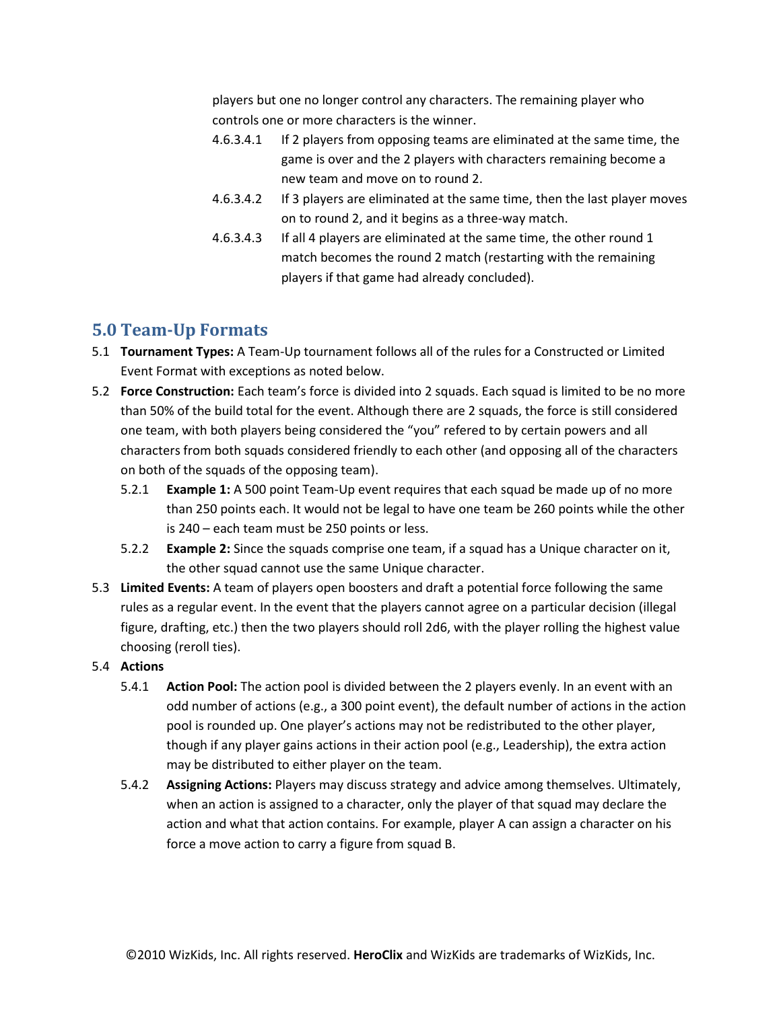players but one no longer control any characters. The remaining player who controls one or more characters is the winner.

- <span id="page-7-1"></span>4.6.3.4.1 If 2 players from opposing teams are eliminated at the same time, the game is over and the 2 players with characters remaining become a new team and move on to round 2.
- 4.6.3.4.2 If 3 players are eliminated at the same time, then the last player moves on to round 2, and it begins as a three-way match.
- 4.6.3.4.3 If all 4 players are eliminated at the same time, the other round 1 match becomes the round 2 match (restarting with the remaining players if that game had already concluded).

## <span id="page-7-2"></span>**5.0 Team-Up Formats**

- 5.1 **Tournament Types:** A Team-Up tournament follows all of the rules for a Constructed or Limited Event Format with exceptions as noted below.
- 5.2 **Force Construction:** Each team's force is divided into 2 squads. Each squad is limited to be no more than 50% of the build total for the event. Although there are 2 squads, the force is still considered one team, with both players being considered the "you" refered to by certain powers and all characters from both squads considered friendly to each other (and opposing all of the characters on both of the squads of the opposing team).
	- 5.2.1 **Example 1:** A 500 point Team-Up event requires that each squad be made up of no more than 250 points each. It would not be legal to have one team be 260 points while the other is 240 – each team must be 250 points or less.
	- 5.2.2 **Example 2:** Since the squads comprise one team, if a squad has a Unique character on it, the other squad cannot use the same Unique character.
- 5.3 **Limited Events:** A team of players open boosters and draft a potential force following the same rules as a regular event. In the event that the players cannot agree on a particular decision (illegal figure, drafting, etc.) then the two players should roll 2d6, with the player rolling the highest value choosing (reroll ties).

#### <span id="page-7-0"></span>5.4 **Actions**

- 5.4.1 **Action Pool:** The action pool is divided between the 2 players evenly. In an event with an odd number of actions (e.g., a 300 point event), the default number of actions in the action pool is rounded up. One player's actions may not be redistributed to the other player, though if any player gains actions in their action pool (e.g., Leadership), the extra action may be distributed to either player on the team.
- 5.4.2 **Assigning Actions:** Players may discuss strategy and advice among themselves. Ultimately, when an action is assigned to a character, only the player of that squad may declare the action and what that action contains. For example, player A can assign a character on his force a move action to carry a figure from squad B.